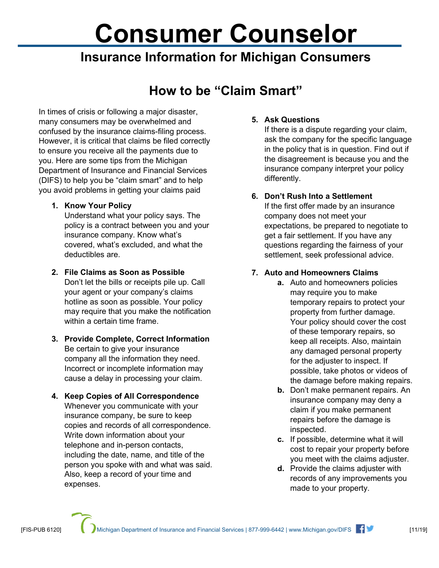# **Consumer Counselor**

# **Insurance Information for Michigan Consumers**

## **How to be "Claim Smart"**

In times of crisis or following a major disaster, many consumers may be overwhelmed and confused by the insurance claims-filing process. However, it is critical that claims be filed correctly to ensure you receive all the payments due to you. Here are some tips from the Michigan Department of Insurance and Financial Services (DIFS) to help you be "claim smart" and to help you avoid problems in getting your claims paid

**1. Know Your Policy** 

Understand what your policy says. The policy is a contract between you and your insurance company. Know what's covered, what's excluded, and what the deductibles are.

#### **2. File Claims as Soon as Possible**

Don't let the bills or receipts pile up. Call your agent or your company's claims hotline as soon as possible. Your policy may require that you make the notification within a certain time frame.

#### **3. Provide Complete, Correct Information** Be certain to give your insurance company all the information they need. Incorrect or incomplete information may cause a delay in processing your claim.

#### **4. Keep Copies of All Correspondence**

Whenever you communicate with your insurance company, be sure to keep copies and records of all correspondence. Write down information about your telephone and in-person contacts, including the date, name, and title of the person you spoke with and what was said. Also, keep a record of your time and expenses.

#### **5. Ask Questions**

If there is a dispute regarding your claim, ask the company for the specific language in the policy that is in question. Find out if the disagreement is because you and the insurance company interpret your policy differently.

#### **6. Don't Rush Into a Settlement**

If the first offer made by an insurance company does not meet your expectations, be prepared to negotiate to get a fair settlement. If you have any questions regarding the fairness of your settlement, seek professional advice.

### **7. Auto and Homeowners Claims**

- **a.** Auto and homeowners policies may require you to make temporary repairs to protect your property from further damage. Your policy should cover the cost of these temporary repairs, so keep all receipts. Also, maintain any damaged personal property for the adjuster to inspect. If possible, take photos or videos of the damage before making repairs.
- **b.** Don't make permanent repairs. An insurance company may deny a claim if you make permanent repairs before the damage is inspected.
- **c.** If possible, determine what it will cost to repair your property before you meet with the claims adjuster.
- **d.** Provide the claims adjuster with records of any improvements you made to your property.